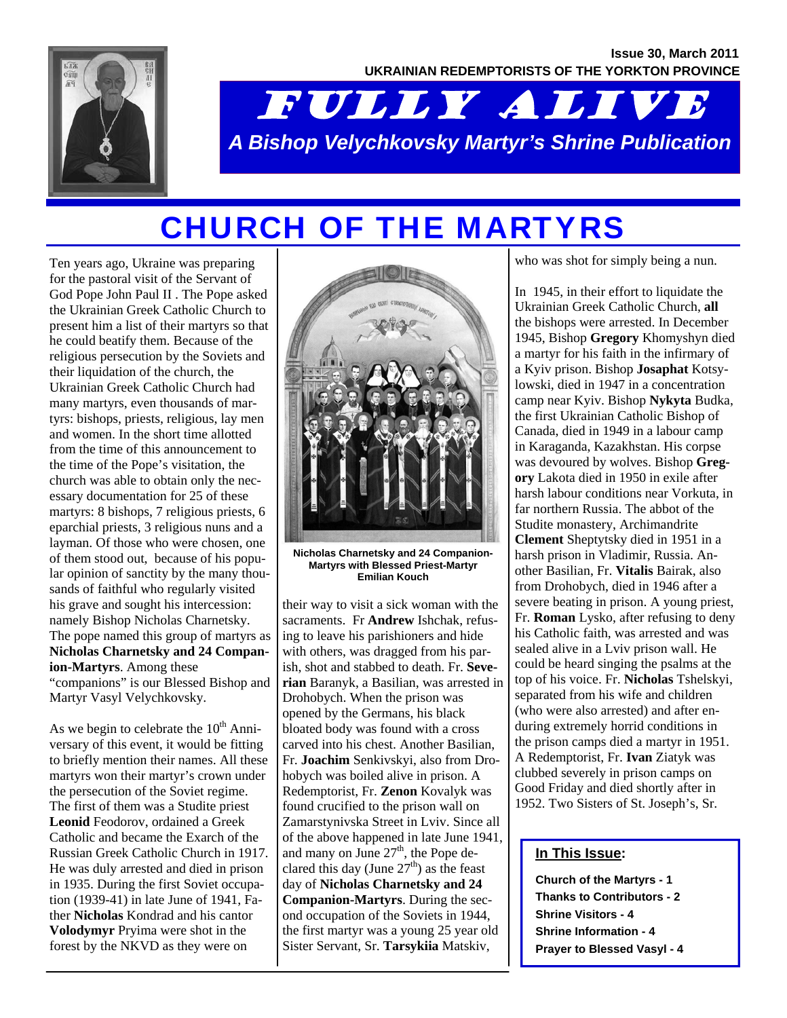

# FULLY ALIVE *A Bishop Velychkovsky Martyr's Shrine Publication*

# CHURCH OF THE MARTYRS

Ten years ago, Ukraine was preparing for the pastoral visit of the Servant of God Pope John Paul II . The Pope asked the Ukrainian Greek Catholic Church to present him a list of their martyrs so that he could beatify them. Because of the religious persecution by the Soviets and their liquidation of the church, the Ukrainian Greek Catholic Church had many martyrs, even thousands of martyrs: bishops, priests, religious, lay men and women. In the short time allotted from the time of this announcement to the time of the Pope's visitation, the church was able to obtain only the necessary documentation for 25 of these martyrs: 8 bishops, 7 religious priests, 6 eparchial priests, 3 religious nuns and a layman. Of those who were chosen, one of them stood out, because of his popular opinion of sanctity by the many thousands of faithful who regularly visited his grave and sought his intercession: namely Bishop Nicholas Charnetsky. The pope named this group of martyrs as **Nicholas Charnetsky and 24 Companion-Martyrs**. Among these "companions" is our Blessed Bishop and Martyr Vasyl Velychkovsky.

As we begin to celebrate the  $10<sup>th</sup>$  Anniversary of this event, it would be fitting to briefly mention their names. All these martyrs won their martyr's crown under the persecution of the Soviet regime. The first of them was a Studite priest **Leonid** Feodorov, ordained a Greek Catholic and became the Exarch of the Russian Greek Catholic Church in 1917. He was duly arrested and died in prison in 1935. During the first Soviet occupation (1939-41) in late June of 1941, Father **Nicholas** Kondrad and his cantor **Volodymyr** Pryima were shot in the forest by the NKVD as they were on



**Nicholas Charnetsky and 24 Companion-Martyrs with Blessed Priest-Martyr Emilian Kouch** 

their way to visit a sick woman with the sacraments. Fr **Andrew** Ishchak, refusing to leave his parishioners and hide with others, was dragged from his parish, shot and stabbed to death. Fr. **Severian** Baranyk, a Basilian, was arrested in Drohobych. When the prison was opened by the Germans, his black bloated body was found with a cross carved into his chest. Another Basilian, Fr. **Joachim** Senkivskyi, also from Drohobych was boiled alive in prison. A Redemptorist, Fr. **Zenon** Kovalyk was found crucified to the prison wall on Zamarstynivska Street in Lviv. Since all of the above happened in late June 1941, and many on June  $27<sup>th</sup>$ , the Pope declared this day (June  $27<sup>th</sup>$ ) as the feast day of **Nicholas Charnetsky and 24 Companion-Martyrs**. During the second occupation of the Soviets in 1944, the first martyr was a young 25 year old Sister Servant, Sr. **Tarsykiia** Matskiv,

who was shot for simply being a nun.

In 1945, in their effort to liquidate the Ukrainian Greek Catholic Church, **all** the bishops were arrested. In December 1945, Bishop **Gregory** Khomyshyn died a martyr for his faith in the infirmary of a Kyiv prison. Bishop **Josaphat** Kotsylowski, died in 1947 in a concentration camp near Kyiv. Bishop **Nykyta** Budka, the first Ukrainian Catholic Bishop of Canada, died in 1949 in a labour camp in Karaganda, Kazakhstan. His corpse was devoured by wolves. Bishop **Gregory** Lakota died in 1950 in exile after harsh labour conditions near Vorkuta, in far northern Russia. The abbot of the Studite monastery, Archimandrite **Clement** Sheptytsky died in 1951 in a harsh prison in Vladimir, Russia. Another Basilian, Fr. **Vitalis** Bairak, also from Drohobych, died in 1946 after a severe beating in prison. A young priest, Fr. **Roman** Lysko, after refusing to deny his Catholic faith, was arrested and was sealed alive in a Lviv prison wall. He could be heard singing the psalms at the top of his voice. Fr. **Nicholas** Tshelskyi, separated from his wife and children (who were also arrested) and after enduring extremely horrid conditions in the prison camps died a martyr in 1951. A Redemptorist, Fr. **Ivan** Ziatyk was clubbed severely in prison camps on Good Friday and died shortly after in 1952. Two Sisters of St. Joseph's, Sr.

#### **In This Issue:**

**Church of the Martyrs - 1 Thanks to Contributors - 2 Shrine Visitors - 4 Shrine Information - 4 Prayer to Blessed Vasyl - 4**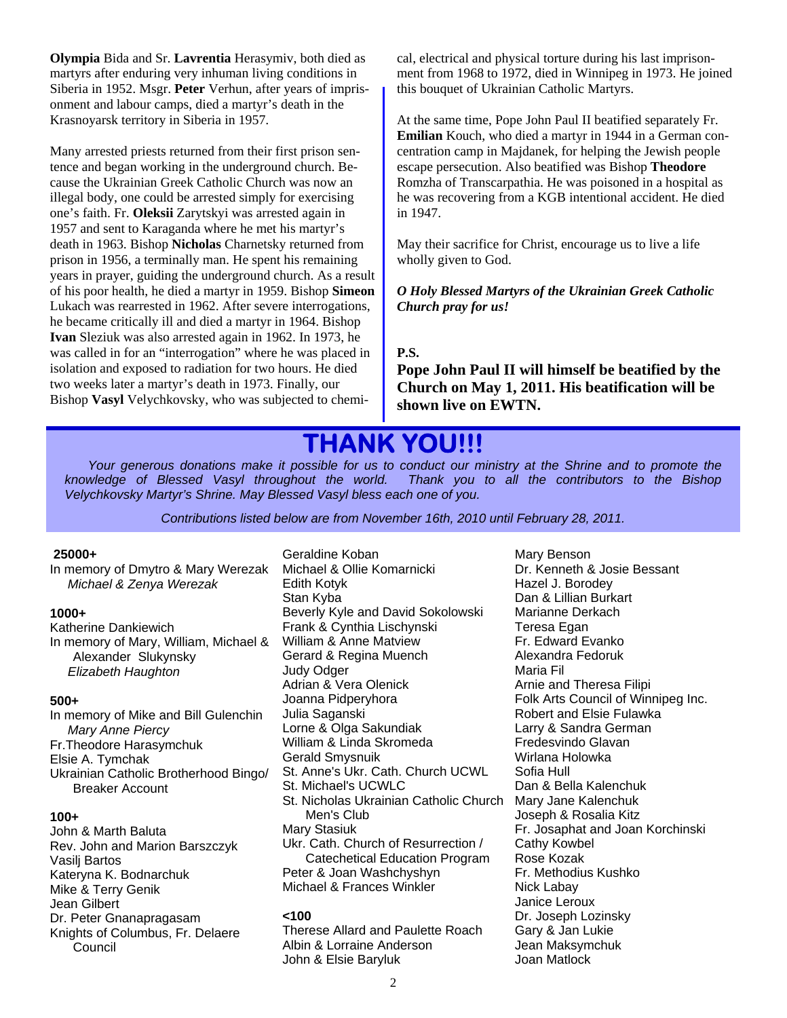**Olympia** Bida and Sr. **Lavrentia** Herasymiv, both died as martyrs after enduring very inhuman living conditions in Siberia in 1952. Msgr. **Peter** Verhun, after years of imprisonment and labour camps, died a martyr's death in the Krasnoyarsk territory in Siberia in 1957.

Many arrested priests returned from their first prison sentence and began working in the underground church. Because the Ukrainian Greek Catholic Church was now an illegal body, one could be arrested simply for exercising one's faith. Fr. **Oleksii** Zarytskyi was arrested again in 1957 and sent to Karaganda where he met his martyr's death in 1963. Bishop **Nicholas** Charnetsky returned from prison in 1956, a terminally man. He spent his remaining years in prayer, guiding the underground church. As a result of his poor health, he died a martyr in 1959. Bishop **Simeon**  Lukach was rearrested in 1962. After severe interrogations, he became critically ill and died a martyr in 1964. Bishop **Ivan** Sleziuk was also arrested again in 1962. In 1973, he was called in for an "interrogation" where he was placed in isolation and exposed to radiation for two hours. He died two weeks later a martyr's death in 1973. Finally, our Bishop **Vasyl** Velychkovsky, who was subjected to chemical, electrical and physical torture during his last imprisonment from 1968 to 1972, died in Winnipeg in 1973. He joined this bouquet of Ukrainian Catholic Martyrs.

At the same time, Pope John Paul II beatified separately Fr. **Emilian** Kouch, who died a martyr in 1944 in a German concentration camp in Majdanek, for helping the Jewish people escape persecution. Also beatified was Bishop **Theodore** Romzha of Transcarpathia. He was poisoned in a hospital as he was recovering from a KGB intentional accident. He died in 1947.

May their sacrifice for Christ, encourage us to live a life wholly given to God.

*O Holy Blessed Martyrs of the Ukrainian Greek Catholic Church pray for us!*

#### **P.S.**

**Pope John Paul II will himself be beatified by the Church on May 1, 2011. His beatification will be shown live on EWTN.** 

## **THANK YOU!!!**

*Your generous donations make it possible for us to conduct our ministry at the Shrine and to promote the knowledge of Blessed Vasyl throughout the world. Thank you to all the contributors to the Bishop Velychkovsky Martyr's Shrine. May Blessed Vasyl bless each one of you.* 

*Contributions listed below are from November 16th, 2010 until February 28, 2011.* 

#### **25000+**

In memory of Dmytro & Mary Werezak  *Michael & Zenya Werezak* 

#### **1000+**

Katherine Dankiewich In memory of Mary, William, Michael & Alexander Slukynsky  *Elizabeth Haughton* 

#### **500+**

In memory of Mike and Bill Gulenchin  *Mary Anne Piercy*  Fr.Theodore Harasymchuk Elsie A. Tymchak Ukrainian Catholic Brotherhood Bingo/ Breaker Account

#### **100+**

John & Marth Baluta Rev. John and Marion Barszczyk Vasilj Bartos Kateryna K. Bodnarchuk Mike & Terry Genik Jean Gilbert Dr. Peter Gnanapragasam Knights of Columbus, Fr. Delaere **Council** 

Geraldine Koban Michael & Ollie Komarnicki Edith Kotyk Stan Kyba Beverly Kyle and David Sokolowski Frank & Cynthia Lischynski William & Anne Matview Gerard & Regina Muench Judy Odger Adrian & Vera Olenick Joanna Pidperyhora Julia Saganski Lorne & Olga Sakundiak William & Linda Skromeda Gerald Smysnuik St. Anne's Ukr. Cath. Church UCWL St. Michael's UCWLC St. Nicholas Ukrainian Catholic Church Men's Club Mary Stasiuk Ukr. Cath. Church of Resurrection / Catechetical Education Program Peter & Joan Washchyshyn Michael & Frances Winkler

#### **<100**

Therese Allard and Paulette Roach Albin & Lorraine Anderson John & Elsie Baryluk

Mary Benson Dr. Kenneth & Josie Bessant Hazel J. Borodey Dan & Lillian Burkart Marianne Derkach Teresa Egan Fr. Edward Evanko Alexandra Fedoruk Maria Fil Arnie and Theresa Filipi Folk Arts Council of Winnipeg Inc. Robert and Elsie Fulawka Larry & Sandra German Fredesvindo Glavan Wirlana Holowka Sofia Hull Dan & Bella Kalenchuk Mary Jane Kalenchuk Joseph & Rosalia Kitz Fr. Josaphat and Joan Korchinski Cathy Kowbel Rose Kozak Fr. Methodius Kushko Nick Labay Janice Leroux Dr. Joseph Lozinsky Gary & Jan Lukie Jean Maksymchuk Joan Matlock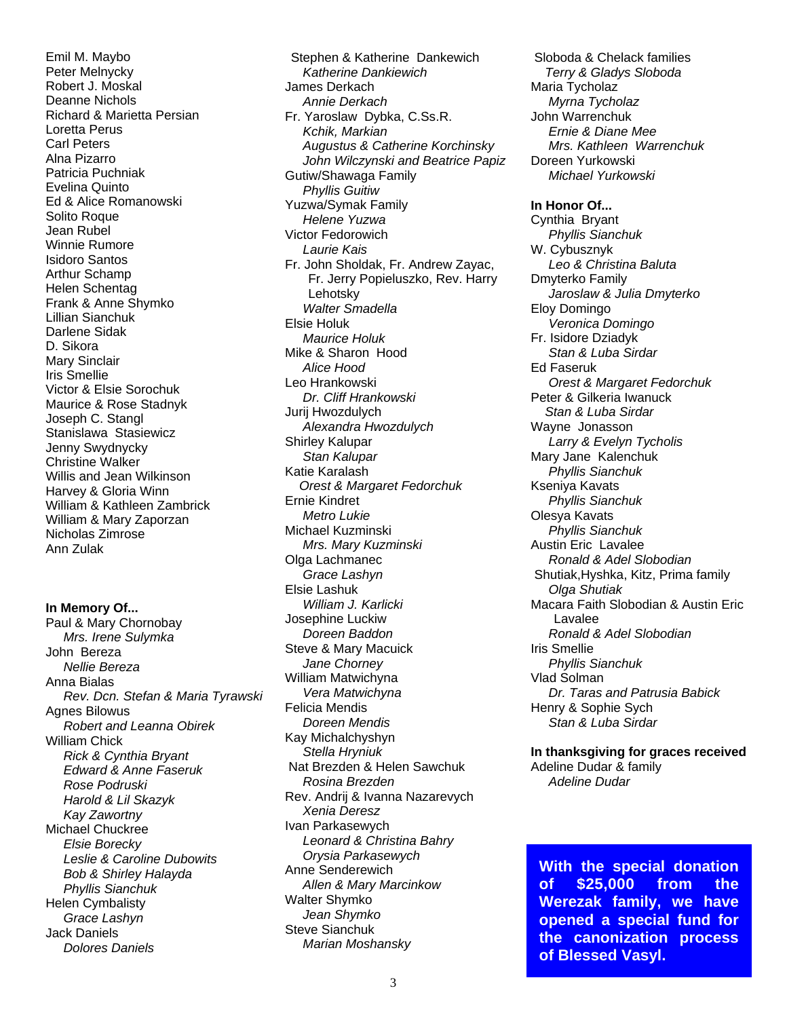Emil M. Maybo Peter Melnycky Robert J. Moskal Deanne Nichols Richard & Marietta Persian Loretta Perus Carl Peters Alna Pizarro Patricia Puchniak Evelina Quinto Ed & Alice Romanowski Solito Roque Jean Rubel Winnie Rumore Isidoro Santos Arthur Schamp Helen Schentag Frank & Anne Shymko Lillian Sianchuk Darlene Sidak D. Sikora Mary Sinclair Iris Smellie Victor & Elsie Sorochuk Maurice & Rose Stadnyk Joseph C. Stangl Stanislawa Stasiewicz Jenny Swydnycky Christine Walker Willis and Jean Wilkinson Harvey & Gloria Winn William & Kathleen Zambrick William & Mary Zaporzan Nicholas Zimrose Ann Zulak

**In Memory Of...** 

Paul & Mary Chornobay  *Mrs. Irene Sulymka*  John Bereza  *Nellie Bereza*  Anna Bialas  *Rev. Dcn. Stefan & Maria Tyrawski*  Agnes Bilowus  *Robert and Leanna Obirek*  William Chick  *Rick & Cynthia Bryant Edward & Anne Faseruk Rose Podruski Harold & Lil Skazyk Kay Zawortny*  Michael Chuckree  *Elsie Borecky Leslie & Caroline Dubowits Bob & Shirley Halayda Phyllis Sianchuk*  Helen Cymbalisty  *Grace Lashyn*  Jack Daniels  *Dolores Daniels* 

Stephen & Katherine Dankewich  *Katherine Dankiewich*  James Derkach  *Annie Derkach*  Fr. Yaroslaw Dybka, C.Ss.R.  *Kchik, Markian Augustus & Catherine Korchinsky John Wilczynski and Beatrice Papiz*  Gutiw/Shawaga Family  *Phyllis Guitiw*  Yuzwa/Symak Family  *Helene Yuzwa*  Victor Fedorowich  *Laurie Kais*  Fr. John Sholdak, Fr. Andrew Zayac, Fr. Jerry Popieluszko, Rev. Harry Lehotsky  *Walter Smadella*  Elsie Holuk  *Maurice Holuk*  Mike & Sharon Hood  *Alice Hood*  Leo Hrankowski  *Dr. Cliff Hrankowski*  Jurij Hwozdulych  *Alexandra Hwozdulych*  Shirley Kalupar  *Stan Kalupar*  Katie Karalash  *Orest & Margaret Fedorchuk*  Ernie Kindret  *Metro Lukie*  Michael Kuzminski  *Mrs. Mary Kuzminski*  Olga Lachmanec  *Grace Lashyn*  Elsie Lashuk  *William J. Karlicki*  Josephine Luckiw  *Doreen Baddon*  Steve & Mary Macuick  *Jane Chorney*  William Matwichyna  *Vera Matwichyna*  Felicia Mendis  *Doreen Mendis*  Kay Michalchyshyn  *Stella Hryniuk*  Nat Brezden & Helen Sawchuk  *Rosina Brezden*  Rev. Andrij & Ivanna Nazarevych  *Xenia Deresz*  Ivan Parkasewych  *Leonard & Christina Bahry Orysia Parkasewych*  Anne Senderewich  *Allen & Mary Marcinkow*  Walter Shymko  *Jean Shymko*  Steve Sianchuk  *Marian Moshansky* 

 Sloboda & Chelack families  *Terry & Gladys Sloboda*  Maria Tycholaz  *Myrna Tycholaz*  John Warrenchuk  *Ernie & Diane Mee Mrs. Kathleen Warrenchuk*  Doreen Yurkowski  *Michael Yurkowski* 

**In Honor Of...**  Cynthia Bryant  *Phyllis Sianchuk*  W. Cybusznyk  *Leo & Christina Baluta*  Dmyterko Family  *Jaroslaw & Julia Dmyterko*  Eloy Domingo  *Veronica Domingo*  Fr. Isidore Dziadyk  *Stan & Luba Sirdar*  Ed Faseruk  *Orest & Margaret Fedorchuk*  Peter & Gilkeria Iwanuck  *Stan & Luba Sirdar*  Wayne Jonasson  *Larry & Evelyn Tycholis*  Mary Jane Kalenchuk  *Phyllis Sianchuk*  Kseniya Kavats  *Phyllis Sianchuk*  Olesya Kavats  *Phyllis Sianchuk*  Austin Eric Lavalee  *Ronald & Adel Slobodian*  Shutiak,Hyshka, Kitz, Prima family  *Olga Shutiak*  Macara Faith Slobodian & Austin Eric Lavalee  *Ronald & Adel Slobodian*  Iris Smellie  *Phyllis Sianchuk*  Vlad Solman  *Dr. Taras and Patrusia Babick*  Henry & Sophie Sych  *Stan & Luba Sirdar* 

**In thanksgiving for graces received**  Adeline Dudar & family  *Adeline Dudar* 

**With the special donation of \$25,000 from the Werezak family, we have opened a special fund for the canonization process of Blessed Vasyl.**